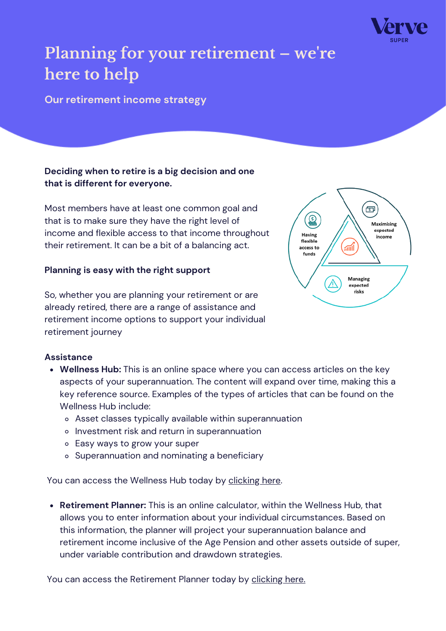

# **Planning for your retirement – we ' re here to help**

**Our retirement income strategy**

## **Deciding when to retire is a big decision and one that is different for everyone.**

Most members have at least one common goal and that is to make sure they have the right level of income and flexible access to that income throughout their retirement. It can be a bit of a balancing act.

#### **Planning is easy with the right support**

So, whether you are planning your retirement or are already retired, there are a range of assistance and retirement income options to support your individual retirement journey



- **Wellness Hub:** This is an online space where you can access articles on the key aspects of your superannuation. The content will expand over time, making this a key reference source. Examples of the types of articles that can be found on the Wellness Hub include:
	- Asset classes typically available within superannuation
	- o Investment risk and return in superannuation
	- Easy ways to grow your super
	- o Superannuation and nominating a beneficiary

You can access the Wellness Hub today by [clicking](https://diversa.com.au/resources/) here.

**Retirement Planner:** This is an online calculator, within the Wellness Hub, that allows you to enter information about your individual circumstances. Based on this information, the planner will project your superannuation balance and retirement income inclusive of the Age Pension and other assets outside of super, under variable contribution and drawdown strategies.

You can access the Retirement Planner today by [clicking](https://diversa.com.au/tools-calculators/retirement-planner/) here.